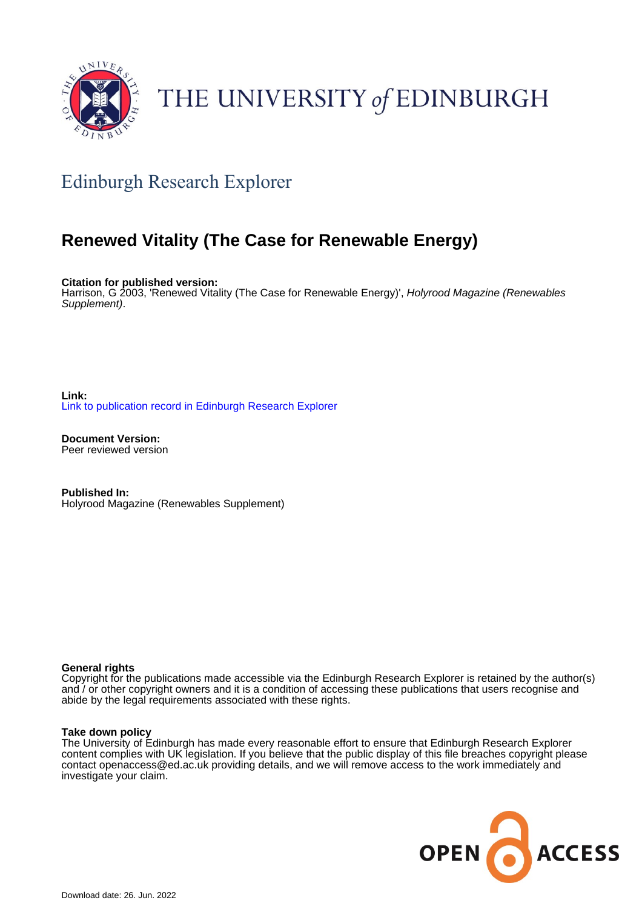

# THE UNIVERSITY of EDINBURGH

# Edinburgh Research Explorer

# **Renewed Vitality (The Case for Renewable Energy)**

**Citation for published version:**

Harrison, G 2003, 'Renewed Vitality (The Case for Renewable Energy)', Holyrood Magazine (Renewables Supplement).

**Link:** [Link to publication record in Edinburgh Research Explorer](https://www.research.ed.ac.uk/en/publications/c6b95ecc-ce5e-4c87-bda0-db6d36b1f38e)

**Document Version:** Peer reviewed version

**Published In:** Holyrood Magazine (Renewables Supplement)

#### **General rights**

Copyright for the publications made accessible via the Edinburgh Research Explorer is retained by the author(s) and / or other copyright owners and it is a condition of accessing these publications that users recognise and abide by the legal requirements associated with these rights.

#### **Take down policy**

The University of Edinburgh has made every reasonable effort to ensure that Edinburgh Research Explorer content complies with UK legislation. If you believe that the public display of this file breaches copyright please contact openaccess@ed.ac.uk providing details, and we will remove access to the work immediately and investigate your claim.

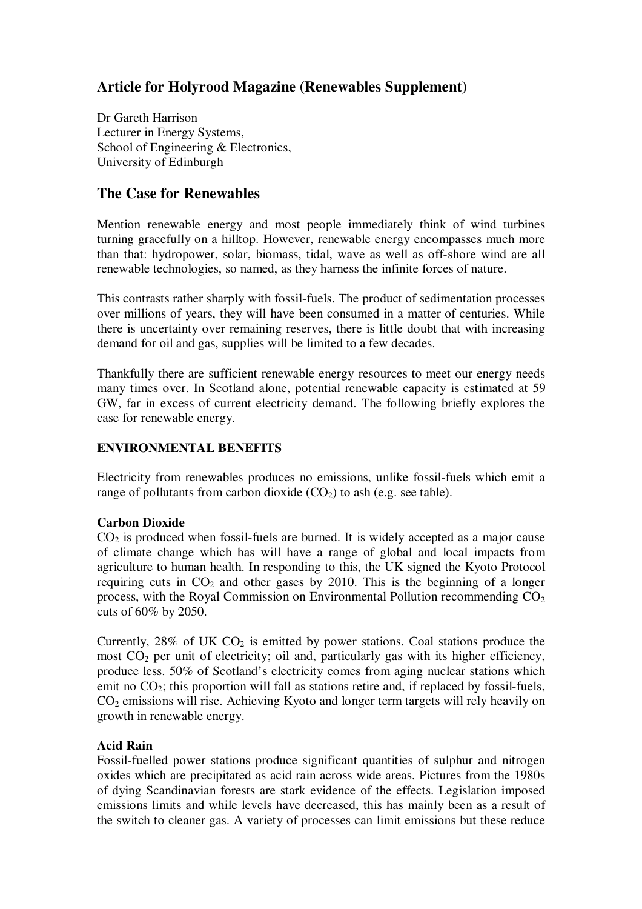## **Article for Holyrood Magazine (Renewables Supplement)**

Dr Gareth Harrison Lecturer in Energy Systems, School of Engineering & Electronics, University of Edinburgh

### **The Case for Renewables**

Mention renewable energy and most people immediately think of wind turbines turning gracefully on a hilltop. However, renewable energy encompasses much more than that: hydropower, solar, biomass, tidal, wave as well as off-shore wind are all renewable technologies, so named, as they harness the infinite forces of nature.

This contrasts rather sharply with fossil-fuels. The product of sedimentation processes over millions of years, they will have been consumed in a matter of centuries. While there is uncertainty over remaining reserves, there is little doubt that with increasing demand for oil and gas, supplies will be limited to a few decades.

Thankfully there are sufficient renewable energy resources to meet our energy needs many times over. In Scotland alone, potential renewable capacity is estimated at 59 GW, far in excess of current electricity demand. The following briefly explores the case for renewable energy.

#### **ENVIRONMENTAL BENEFITS**

Electricity from renewables produces no emissions, unlike fossil-fuels which emit a range of pollutants from carbon dioxide  $(CO<sub>2</sub>)$  to ash (e.g. see table).

#### **Carbon Dioxide**

 $CO<sub>2</sub>$  is produced when fossil-fuels are burned. It is widely accepted as a major cause of climate change which has will have a range of global and local impacts from agriculture to human health. In responding to this, the UK signed the Kyoto Protocol requiring cuts in  $CO<sub>2</sub>$  and other gases by 2010. This is the beginning of a longer process, with the Royal Commission on Environmental Pollution recommending  $CO<sub>2</sub>$ cuts of 60% by 2050.

Currently,  $28\%$  of UK CO<sub>2</sub> is emitted by power stations. Coal stations produce the most  $CO<sub>2</sub>$  per unit of electricity; oil and, particularly gas with its higher efficiency, produce less. 50% of Scotland's electricity comes from aging nuclear stations which emit no  $CO<sub>2</sub>$ ; this proportion will fall as stations retire and, if replaced by fossil-fuels, CO<sup>2</sup> emissions will rise. Achieving Kyoto and longer term targets will rely heavily on growth in renewable energy.

### **Acid Rain**

Fossil-fuelled power stations produce significant quantities of sulphur and nitrogen oxides which are precipitated as acid rain across wide areas. Pictures from the 1980s of dying Scandinavian forests are stark evidence of the effects. Legislation imposed emissions limits and while levels have decreased, this has mainly been as a result of the switch to cleaner gas. A variety of processes can limit emissions but these reduce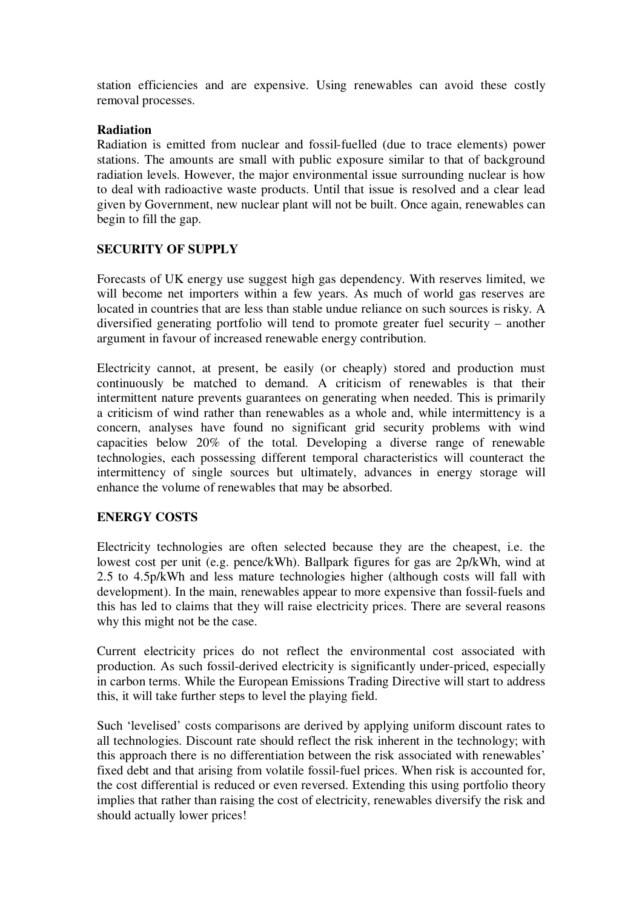station efficiencies and are expensive. Using renewables can avoid these costly removal processes.

#### **Radiation**

Radiation is emitted from nuclear and fossil-fuelled (due to trace elements) power stations. The amounts are small with public exposure similar to that of background radiation levels. However, the major environmental issue surrounding nuclear is how to deal with radioactive waste products. Until that issue is resolved and a clear lead given by Government, new nuclear plant will not be built. Once again, renewables can begin to fill the gap.

### **SECURITY OF SUPPLY**

Forecasts of UK energy use suggest high gas dependency. With reserves limited, we will become net importers within a few years. As much of world gas reserves are located in countries that are less than stable undue reliance on such sources is risky. A diversified generating portfolio will tend to promote greater fuel security – another argument in favour of increased renewable energy contribution.

Electricity cannot, at present, be easily (or cheaply) stored and production must continuously be matched to demand. A criticism of renewables is that their intermittent nature prevents guarantees on generating when needed. This is primarily a criticism of wind rather than renewables as a whole and, while intermittency is a concern, analyses have found no significant grid security problems with wind capacities below 20% of the total. Developing a diverse range of renewable technologies, each possessing different temporal characteristics will counteract the intermittency of single sources but ultimately, advances in energy storage will enhance the volume of renewables that may be absorbed.

### **ENERGY COSTS**

Electricity technologies are often selected because they are the cheapest, i.e. the lowest cost per unit (e.g. pence/kWh). Ballpark figures for gas are 2p/kWh, wind at 2.5 to 4.5p/kWh and less mature technologies higher (although costs will fall with development). In the main, renewables appear to more expensive than fossil-fuels and this has led to claims that they will raise electricity prices. There are several reasons why this might not be the case.

Current electricity prices do not reflect the environmental cost associated with production. As such fossil-derived electricity is significantly under-priced, especially in carbon terms. While the European Emissions Trading Directive will start to address this, it will take further steps to level the playing field.

Such 'levelised' costs comparisons are derived by applying uniform discount rates to all technologies. Discount rate should reflect the risk inherent in the technology; with this approach there is no differentiation between the risk associated with renewables' fixed debt and that arising from volatile fossil-fuel prices. When risk is accounted for, the cost differential is reduced or even reversed. Extending this using portfolio theory implies that rather than raising the cost of electricity, renewables diversify the risk and should actually lower prices!